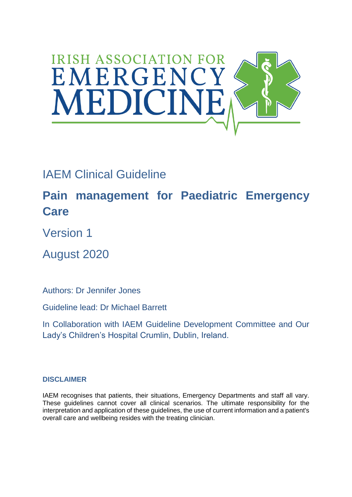

# IAEM Clinical Guideline

**Pain management for Paediatric Emergency Care**

Version 1

August 2020

Authors: Dr Jennifer Jones

Guideline lead: Dr Michael Barrett

In Collaboration with IAEM Guideline Development Committee and Our Lady's Children's Hospital Crumlin, Dublin, Ireland.

## **DISCLAIMER**

IAEM recognises that patients, their situations, Emergency Departments and staff all vary. These guidelines cannot cover all clinical scenarios. The ultimate responsibility for the interpretation and application of these guidelines, the use of current information and a patient's overall care and wellbeing resides with the treating clinician.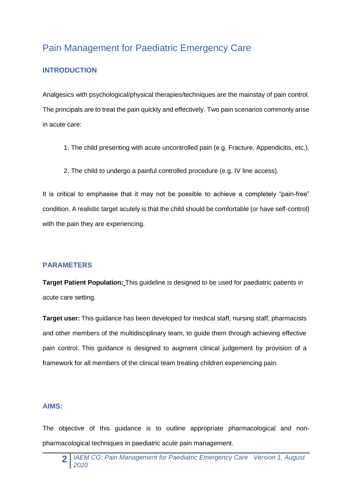## Pain Management for Paediatric Emergency Care

## **INTRODUCTION**

Analgesics with psychological/physical therapies/techniques are the mainstay of pain control. The principals are to treat the pain quickly and effectively. Two pain scenarios commonly arise in acute care:

- 1. The child presenting with acute uncontrolled pain (e.g. Fracture, Appendicitis, etc.).
- 2. The child to undergo a painful controlled procedure (e.g. IV line access).

It is critical to emphasise that it may not be possible to achieve a completely "pain-free" condition. A realistic target acutely is that the child should be comfortable (or have self-control) with the pain they are experiencing.

## **PARAMETERS**

**Target Patient Population:** This guideline is designed to be used for paediatric patients in acute care setting.

**Target user:** This guidance has been developed for medical staff, nursing staff, pharmacists and other members of the multidisciplinary team, to guide them through achieving effective pain control. This guidance is designed to augment clinical judgement by provision of a framework for all members of the clinical team treating children experiencing pain.

#### **AIMS:**

The objective of this guidance is to outline appropriate pharmacological and nonpharmacological techniques in paediatric acute pain management.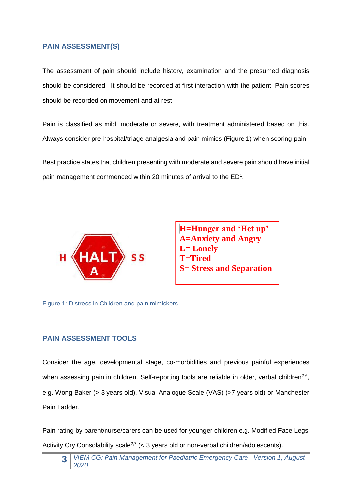#### **PAIN ASSESSMENT(S)**

The assessment of pain should include history, examination and the presumed diagnosis should be considered<sup>1</sup>. It should be recorded at first interaction with the patient. Pain scores should be recorded on movement and at rest.

Pain is classified as mild, moderate or severe, with treatment administered based on this. Always consider pre-hospital/triage analgesia and pain mimics (Figure 1) when scoring pain.

Best practice states that children presenting with moderate and severe pain should have initial pain management commenced within 20 minutes of arrival to the  $ED<sup>1</sup>$ .



**H=Hunger and 'Het up' A=Anxiety and Angry L= Lonely T=Tired S= Stress and Separation** 

Figure 1: Distress in Children and pain mimickers Figure 1: Distress in Children and Pain Mimickers

## **PAIN ASSESSMENT TOOLS**

Consider the age, developmental stage, co-morbidities and previous painful experiences when assessing pain in children. Self-reporting tools are reliable in older, verbal children<sup>2-6</sup>, e.g. Wong Baker (> 3 years old), Visual Analogue Scale (VAS) (>7 years old) or Manchester Pain Ladder.

Pain rating by parent/nurse/carers can be used for younger children e.g. Modified Face Legs Activity Cry Consolability scale<sup>2,7</sup> (< 3 years old or non-verbal children/adolescents).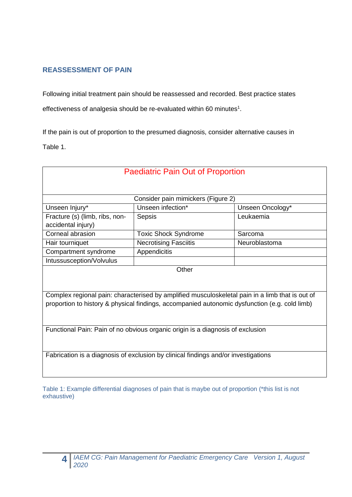## **REASSESSMENT OF PAIN**

Following initial treatment pain should be reassessed and recorded. Best practice states effectiveness of analgesia should be re-evaluated within 60 minutes<sup>1</sup>.

If the pain is out of proportion to the presumed diagnosis, consider alternative causes in Table 1.

| <b>Paediatric Pain Out of Proportion</b>                                                        |                                                                                               |                  |  |  |  |  |  |
|-------------------------------------------------------------------------------------------------|-----------------------------------------------------------------------------------------------|------------------|--|--|--|--|--|
|                                                                                                 |                                                                                               |                  |  |  |  |  |  |
| Consider pain mimickers (Figure 2)                                                              |                                                                                               |                  |  |  |  |  |  |
| Unseen Injury*                                                                                  | Unseen infection*                                                                             | Unseen Oncology* |  |  |  |  |  |
| Fracture (s) (limb, ribs, non-                                                                  | <b>Sepsis</b>                                                                                 | Leukaemia        |  |  |  |  |  |
| accidental injury)                                                                              |                                                                                               |                  |  |  |  |  |  |
| Corneal abrasion                                                                                | <b>Toxic Shock Syndrome</b>                                                                   | Sarcoma          |  |  |  |  |  |
| Hair tourniquet                                                                                 | <b>Necrotising Fasciitis</b>                                                                  | Neuroblastoma    |  |  |  |  |  |
| Compartment syndrome                                                                            | Appendicitis                                                                                  |                  |  |  |  |  |  |
| Intussusception/Volvulus                                                                        |                                                                                               |                  |  |  |  |  |  |
| Other                                                                                           |                                                                                               |                  |  |  |  |  |  |
|                                                                                                 |                                                                                               |                  |  |  |  |  |  |
| Complex regional pain: characterised by amplified musculoskeletal pain in a limb that is out of |                                                                                               |                  |  |  |  |  |  |
|                                                                                                 | proportion to history & physical findings, accompanied autonomic dysfunction (e.g. cold limb) |                  |  |  |  |  |  |
|                                                                                                 |                                                                                               |                  |  |  |  |  |  |
|                                                                                                 |                                                                                               |                  |  |  |  |  |  |
| Functional Pain: Pain of no obvious organic origin is a diagnosis of exclusion                  |                                                                                               |                  |  |  |  |  |  |
|                                                                                                 |                                                                                               |                  |  |  |  |  |  |
|                                                                                                 |                                                                                               |                  |  |  |  |  |  |
| Fabrication is a diagnosis of exclusion by clinical findings and/or investigations              |                                                                                               |                  |  |  |  |  |  |
|                                                                                                 |                                                                                               |                  |  |  |  |  |  |

Table 1: Example differential diagnoses of pain that is maybe out of proportion (\*this list is not exhaustive)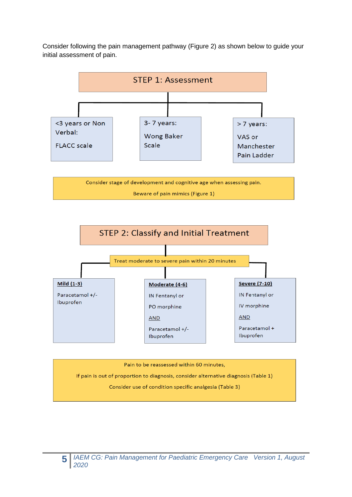Consider following the pain management pathway (Figure 2) as shown below to guide your initial assessment of pain.



Consider stage of development and cognitive age when assessing pain. Beware of pain mimics (Figure 1)



Pain to be reassessed within 60 minutes,

If pain is out of proportion to diagnosis, consider alternative diagnosis (Table 1)

Consider use of condition specific analgesia (Table 3)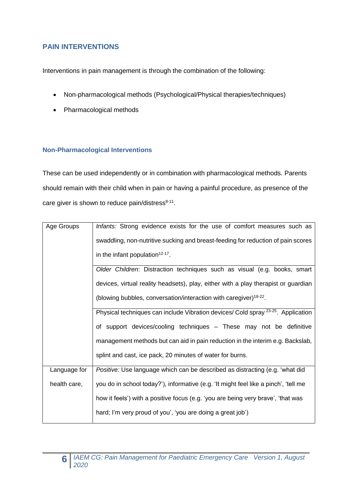## **PAIN INTERVENTIONS**

Interventions in pain management is through the combination of the following:

- Non-pharmacological methods (Psychological/Physical therapies/techniques)
- Pharmacological methods

#### **Non-Pharmacological Interventions**

These can be used independently or in combination with pharmacological methods. Parents should remain with their child when in pain or having a painful procedure, as presence of the care giver is shown to reduce pain/distress $8-11$ .

| Age Groups   | Infants: Strong evidence exists for the use of comfort measures such as                      |  |  |  |  |  |
|--------------|----------------------------------------------------------------------------------------------|--|--|--|--|--|
|              | swaddling, non-nutritive sucking and breast-feeding for reduction of pain scores             |  |  |  |  |  |
|              | in the infant population <sup>12-17</sup> .                                                  |  |  |  |  |  |
|              | Older Children: Distraction techniques such as visual (e.g. books, smart                     |  |  |  |  |  |
|              | devices, virtual reality headsets), play, either with a play therapist or guardian           |  |  |  |  |  |
|              | (blowing bubbles, conversation/interaction with caregiver) <sup>18-22</sup> .                |  |  |  |  |  |
|              | Physical techniques can include Vibration devices/ Cold spray <sup>23-25</sup> . Application |  |  |  |  |  |
|              | of support devices/cooling techniques - These may not be definitive                          |  |  |  |  |  |
|              | management methods but can aid in pain reduction in the interim e.g. Backslab,               |  |  |  |  |  |
|              | splint and cast, ice pack, 20 minutes of water for burns.                                    |  |  |  |  |  |
| Language for | Positive: Use language which can be described as distracting (e.g. 'what did                 |  |  |  |  |  |
| health care, | you do in school today?'), informative (e.g. 'It might feel like a pinch', 'tell me          |  |  |  |  |  |
|              | how it feels') with a positive focus (e.g. 'you are being very brave', 'that was             |  |  |  |  |  |
|              | hard; I'm very proud of you', 'you are doing a great job')                                   |  |  |  |  |  |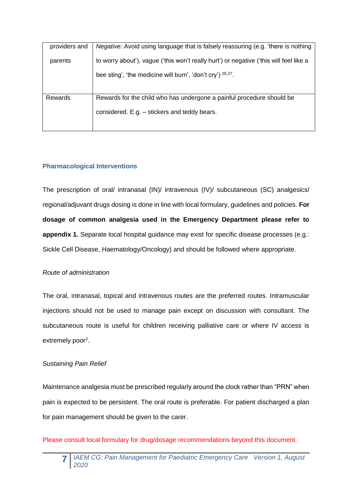| providers and | <i>Negative:</i> Avoid using language that is falsely reassuring (e.g. 'there is nothing |
|---------------|------------------------------------------------------------------------------------------|
| parents       | to worry about'), vague ('this won't really hurt') or negative ('this will feel like a   |
|               | bee sting', 'the medicine will burn', 'don't cry') $26,27$ .                             |
|               |                                                                                          |
| Rewards       | Rewards for the child who has undergone a painful procedure should be                    |
|               | considered. E.g. - stickers and teddy bears.                                             |
|               |                                                                                          |

## **Pharmacological Interventions**

The prescription of oral/ intranasal (IN)/ intravenous (IV)/ subcutaneous (SC) analgesics/ regional/adjuvant drugs dosing is done in line with local formulary, guidelines and policies. **For dosage of common analgesia used in the Emergency Department please refer to appendix 1.** Separate local hospital guidance may exist for specific disease processes (e.g.: Sickle Cell Disease, Haematology/Oncology) and should be followed where appropriate.

#### *Route of administration*

The oral, intranasal, topical and intravenous routes are the preferred routes. Intramuscular injections should not be used to manage pain except on discussion with consultant. The subcutaneous route is useful for children receiving palliative care or where IV access is extremely poor<sup>2</sup>.

#### *Sustaining Pain Relief*

Maintenance analgesia must be prescribed regularly around the clock rather than "PRN" when pain is expected to be persistent. The oral route is preferable. For patient discharged a plan for pain management should be given to the carer.

Please consult local formulary for drug/dosage recommendations beyond this document.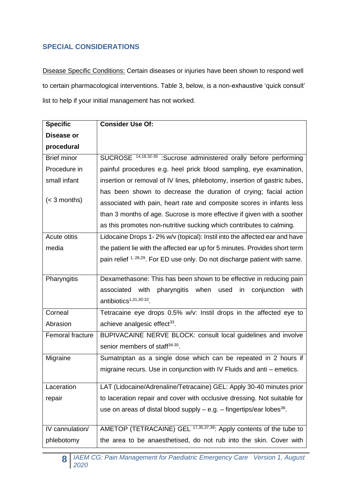## **SPECIAL CONSIDERATIONS**

Disease Specific Conditions: Certain diseases or injuries have been shown to respond well to certain pharmacological interventions. Table 3, below, is a non-exhaustive 'quick consult' list to help if your initial management has not worked.

| <b>Specific</b>    | <b>Consider Use Of:</b>                                                                |
|--------------------|----------------------------------------------------------------------------------------|
| Disease or         |                                                                                        |
| procedural         |                                                                                        |
| <b>Brief minor</b> | SUCROSE <sup>14,18,32-35</sup> :Sucrose administered orally before performing          |
| Procedure in       | painful procedures e.g. heel prick blood sampling, eye examination,                    |
| small infant       | insertion or removal of IV lines, phlebotomy, insertion of gastric tubes,              |
|                    | has been shown to decrease the duration of crying; facial action                       |
| $(< 3$ months)     | associated with pain, heart rate and composite scores in infants less                  |
|                    | than 3 months of age. Sucrose is more effective if given with a soother                |
|                    | as this promotes non-nutritive sucking which contributes to calming.                   |
| Acute otitis       | Lidocaine Drops 1-2% w/v (topical): Instil into the affected ear and have              |
| media              | the patient lie with the affected ear up for 5 minutes. Provides short term            |
|                    | pain relief <sup>1, 28,29</sup> . For ED use only. Do not discharge patient with same. |
| Pharyngitis        | Dexamethasone: This has been shown to be effective in reducing pain                    |
|                    | associated with<br>pharyngitis when<br>conjunction<br>used<br>in<br>with               |
|                    | antibiotics <sup>1,31,30-32</sup> .                                                    |
| Corneal            | Tetracaine eye drops 0.5% w/v: Instil drops in the affected eye to                     |
| Abrasion           | achieve analgesic effect <sup>33</sup> .                                               |
| Femoral fracture   | BUPIVACAINE NERVE BLOCK: consult local guidelines and involve                          |
|                    | senior members of staff <sup>34-35</sup> .                                             |
| Migraine           | Sumatriptan as a single dose which can be repeated in 2 hours if                       |
|                    | migraine recurs. Use in conjunction with IV Fluids and anti – emetics.                 |
| Laceration         | LAT (Lidocaine/Adrenaline/Tetracaine) GEL: Apply 30-40 minutes prior                   |
| repair             | to laceration repair and cover with occlusive dressing. Not suitable for               |
|                    | use on areas of distal blood supply $-$ e.g. $-$ fingertips/ear lobes <sup>36</sup> .  |
|                    |                                                                                        |
| IV cannulation/    | AMETOP (TETRACAINE) GEL <sup>17,35,37,38</sup> : Apply contents of the tube to         |
| phlebotomy         | the area to be anaesthetised, do not rub into the skin. Cover with                     |

**8** *IAEM CG: Pain Management for Paediatric Emergency Care Version 1, August 2020*